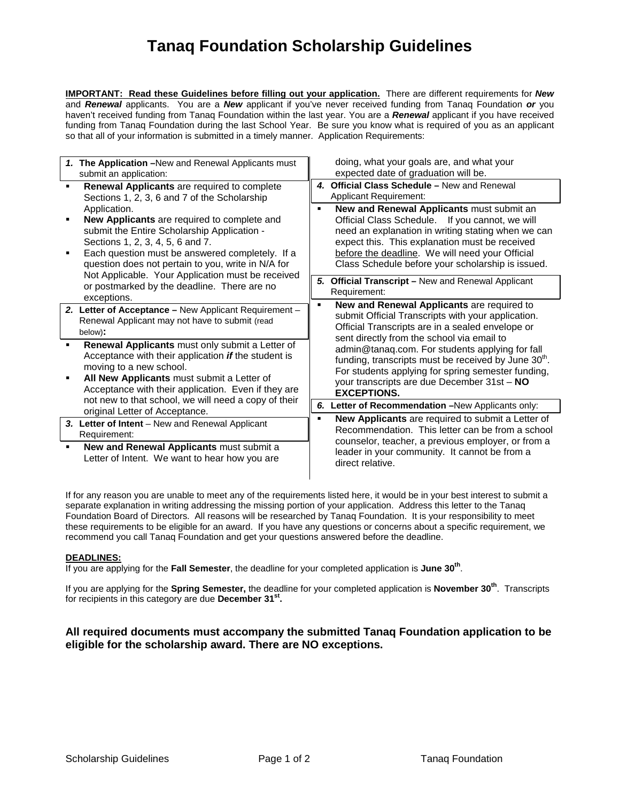# **Tanaq Foundation Scholarship Guidelines**

**IMPORTANT: Read these Guidelines before filling out your application.** There are different requirements for *New* and *Renewal* applicants. You are a *New* applicant if you've never received funding from Tanaq Foundation *or* you haven't received funding from Tanaq Foundation within the last year. You are a *Renewal* applicant if you have received funding from Tanaq Foundation during the last School Year. Be sure you know what is required of you as an applicant so that all of your information is submitted in a timely manner. Application Requirements:

| 1. The Application - New and Renewal Applicants must<br>submit an application:                                                                                                                                                                                                                                                                                                                                                                                            | doing, what your goals are, and what your<br>expected date of graduation will be.                                                                                                                                                                                                                                                                                                                                                                         |
|---------------------------------------------------------------------------------------------------------------------------------------------------------------------------------------------------------------------------------------------------------------------------------------------------------------------------------------------------------------------------------------------------------------------------------------------------------------------------|-----------------------------------------------------------------------------------------------------------------------------------------------------------------------------------------------------------------------------------------------------------------------------------------------------------------------------------------------------------------------------------------------------------------------------------------------------------|
| Renewal Applicants are required to complete<br>Sections 1, 2, 3, 6 and 7 of the Scholarship<br>Application.<br>New Applicants are required to complete and<br>submit the Entire Scholarship Application -<br>Sections 1, 2, 3, 4, 5, 6 and 7.<br>Each question must be answered completely. If a<br>question does not pertain to you, write in N/A for<br>Not Applicable. Your Application must be received<br>or postmarked by the deadline. There are no<br>exceptions. | 4. Official Class Schedule - New and Renewal<br><b>Applicant Requirement:</b>                                                                                                                                                                                                                                                                                                                                                                             |
|                                                                                                                                                                                                                                                                                                                                                                                                                                                                           | New and Renewal Applicants must submit an<br>$\blacksquare$<br>Official Class Schedule. If you cannot, we will<br>need an explanation in writing stating when we can<br>expect this. This explanation must be received<br>before the deadline. We will need your Official<br>Class Schedule before your scholarship is issued.                                                                                                                            |
|                                                                                                                                                                                                                                                                                                                                                                                                                                                                           | <b>Official Transcript - New and Renewal Applicant</b><br>5.<br>Requirement:                                                                                                                                                                                                                                                                                                                                                                              |
| 2. Letter of Acceptance - New Applicant Requirement -<br>Renewal Applicant may not have to submit (read<br>below):                                                                                                                                                                                                                                                                                                                                                        | New and Renewal Applicants are required to<br>٠<br>submit Official Transcripts with your application.<br>Official Transcripts are in a sealed envelope or<br>sent directly from the school via email to<br>admin@tanaq.com. For students applying for fall<br>funding, transcripts must be received by June 30 <sup>th</sup> .<br>For students applying for spring semester funding,<br>your transcripts are due December 31st - NO<br><b>EXCEPTIONS.</b> |
| Renewal Applicants must only submit a Letter of<br>Acceptance with their application if the student is<br>moving to a new school.<br>All New Applicants must submit a Letter of<br>Acceptance with their application. Even if they are<br>not new to that school, we will need a copy of their<br>original Letter of Acceptance.                                                                                                                                          |                                                                                                                                                                                                                                                                                                                                                                                                                                                           |
|                                                                                                                                                                                                                                                                                                                                                                                                                                                                           | 6. Letter of Recommendation -New Applicants only:                                                                                                                                                                                                                                                                                                                                                                                                         |
| 3. Letter of Intent – New and Renewal Applicant<br>Requirement:<br>New and Renewal Applicants must submit a<br>٠<br>Letter of Intent. We want to hear how you are                                                                                                                                                                                                                                                                                                         | <b>New Applicants</b> are required to submit a Letter of<br>Recommendation. This letter can be from a school<br>counselor, teacher, a previous employer, or from a<br>leader in your community. It cannot be from a<br>direct relative.                                                                                                                                                                                                                   |

If for any reason you are unable to meet any of the requirements listed here, it would be in your best interest to submit a separate explanation in writing addressing the missing portion of your application. Address this letter to the Tanaq Foundation Board of Directors. All reasons will be researched by Tanaq Foundation. It is your responsibility to meet these requirements to be eligible for an award. If you have any questions or concerns about a specific requirement, we recommend you call Tanaq Foundation and get your questions answered before the deadline.

#### **DEADLINES:**

If you are applying for the **Fall Semester**, the deadline for your completed application is **June 30th**.

If you are applying for the **Spring Semester,** the deadline for your completed application is **November 30th**. Transcripts for recipients in this category are due **December 31st.**

### **All required documents must accompany the submitted Tanaq Foundation application to be eligible for the scholarship award. There are NO exceptions.**